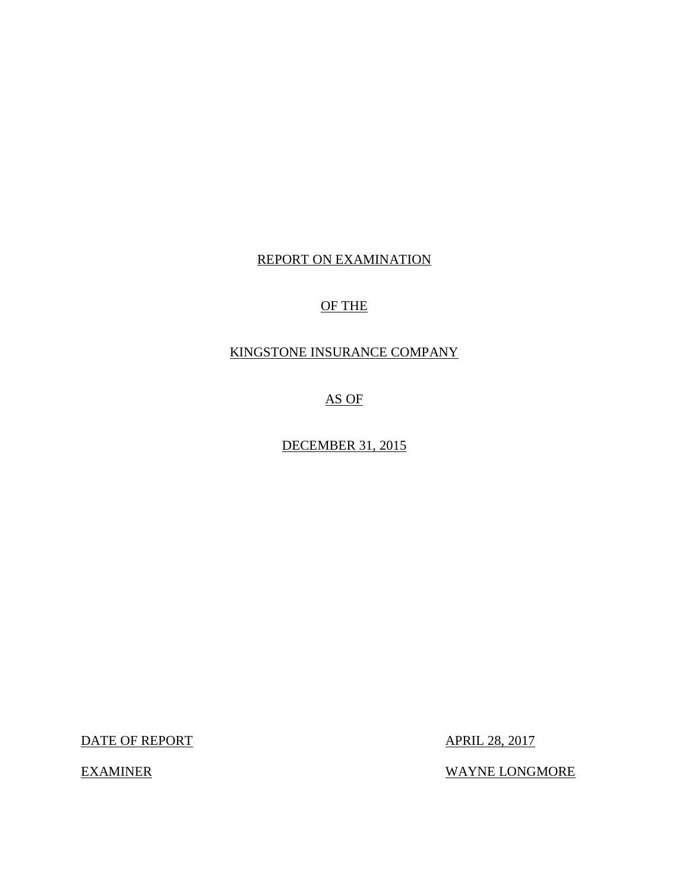# REPORT ON EXAMINATION

# OF THE

# KINGSTONE INSURANCE COMPANY

AS OF

DECEMBER 31, 2015

DATE OF REPORT APRIL 28, 2017

EXAMINER WAYNE LONGMORE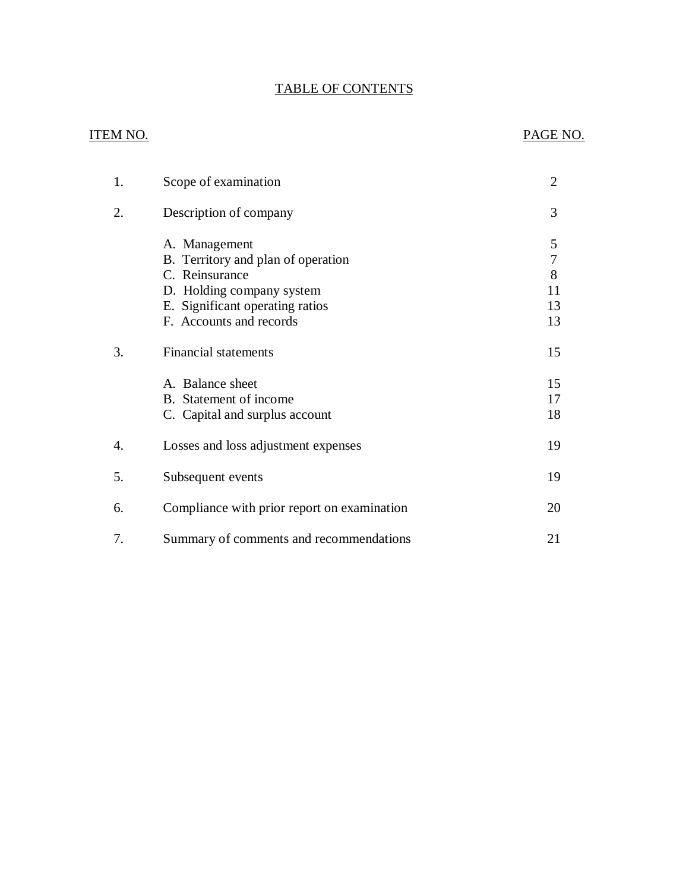# TABLE OF CONTENTS

# ITEM NO. PAGE NO.

| 1. | Scope of examination                                                                                                                                             | $\overline{2}$                |
|----|------------------------------------------------------------------------------------------------------------------------------------------------------------------|-------------------------------|
| 2. | Description of company                                                                                                                                           | 3                             |
|    | A. Management<br>B. Territory and plan of operation<br>C. Reinsurance<br>D. Holding company system<br>E. Significant operating ratios<br>F. Accounts and records | 5<br>7<br>8<br>11<br>13<br>13 |
| 3. | <b>Financial statements</b>                                                                                                                                      | 15                            |
|    | A. Balance sheet<br>B. Statement of income<br>C. Capital and surplus account                                                                                     | 15<br>17<br>18                |
| 4. | Losses and loss adjustment expenses                                                                                                                              | 19                            |
| 5. | Subsequent events                                                                                                                                                | 19                            |
| 6. | Compliance with prior report on examination                                                                                                                      | 20                            |
| 7. | Summary of comments and recommendations                                                                                                                          | 21                            |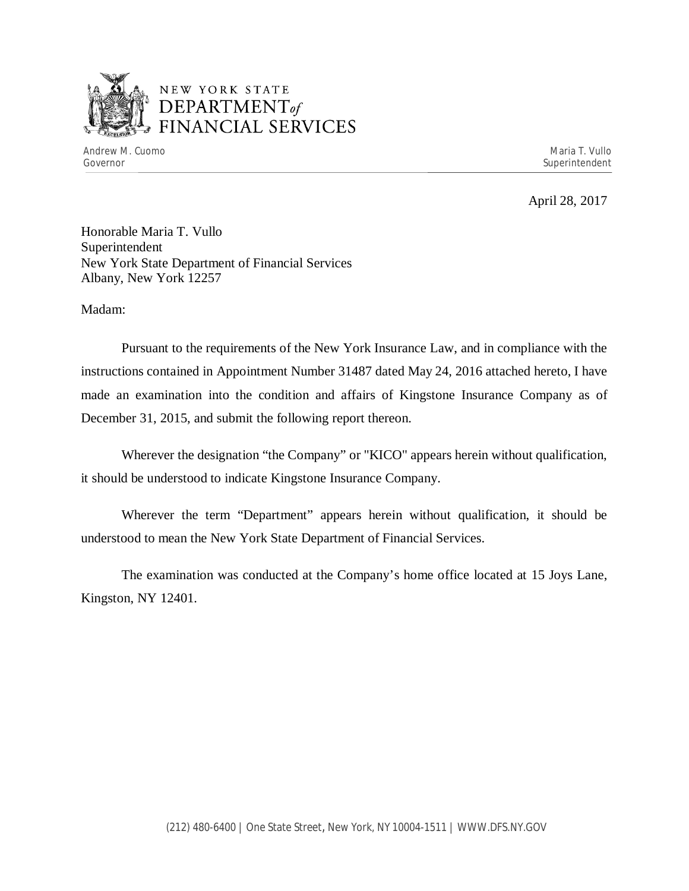

# NEW YORK STATE *DEPARTMENTof*  FINANCIAL SERVICES

April 28, 2017

Honorable Maria T. Vullo Superintendent New York State Department of Financial Services Albany, New York 12257

Madam:

Pursuant to the requirements of the New York Insurance Law, and in compliance with the instructions contained in Appointment Number 31487 dated May 24, 2016 attached hereto, I have made an examination into the condition and affairs of Kingstone Insurance Company as of December 31, 2015, and submit the following report thereon.

Wherever the designation "the Company" or "KICO" appears herein without qualification, it should be understood to indicate Kingstone Insurance Company.

Wherever the term "Department" appears herein without qualification, it should be understood to mean the New York State Department of Financial Services.

The examination was conducted at the Company's home office located at 15 Joys Lane, Kingston, NY 12401.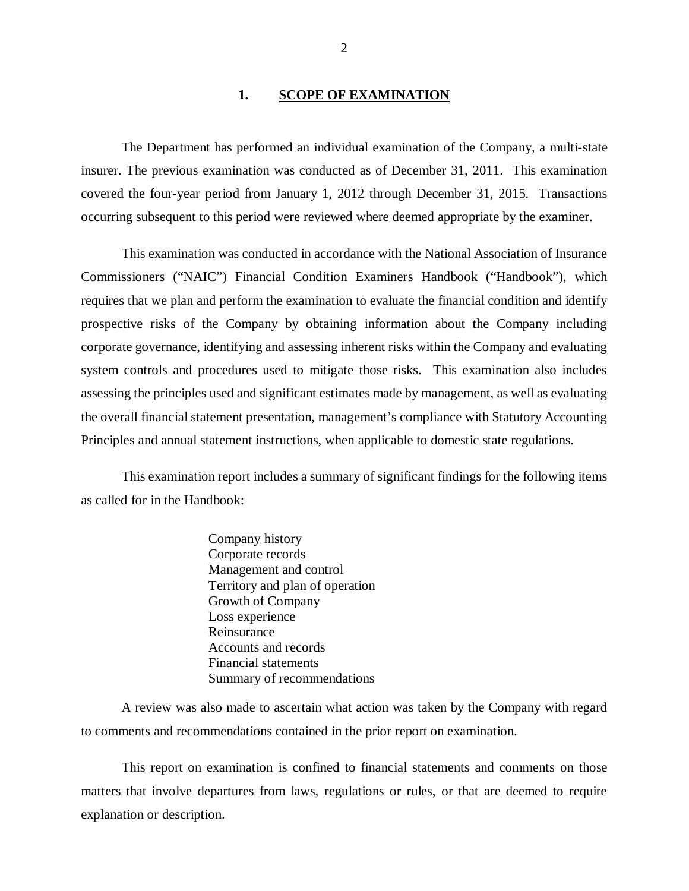## 1. **SCOPE OF EXAMINATION**

The Department has performed an individual examination of the Company*,* a multi-state insurer. The previous examination was conducted as of December 31, 2011. This examination covered the four-year period from January 1, 2012 through December 31, 2015. Transactions occurring subsequent to this period were reviewed where deemed appropriate by the examiner.

This examination was conducted in accordance with the National Association of Insurance Commissioners ("NAIC") Financial Condition Examiners Handbook ("Handbook"), which requires that we plan and perform the examination to evaluate the financial condition and identify prospective risks of the Company by obtaining information about the Company including corporate governance, identifying and assessing inherent risks within the Company and evaluating system controls and procedures used to mitigate those risks. This examination also includes assessing the principles used and significant estimates made by management, as well as evaluating the overall financial statement presentation, management's compliance with Statutory Accounting Principles and annual statement instructions, when applicable to domestic state regulations.

This examination report includes a summary of significant findings for the following items as called for in the Handbook:

> Company history Corporate records Management and control Territory and plan of operation Growth of Company Loss experience Reinsurance Accounts and records Financial statements Summary of recommendations

A review was also made to ascertain what action was taken by the Company with regard to comments and recommendations contained in the prior report on examination.

This report on examination is confined to financial statements and comments on those matters that involve departures from laws, regulations or rules, or that are deemed to require explanation or description.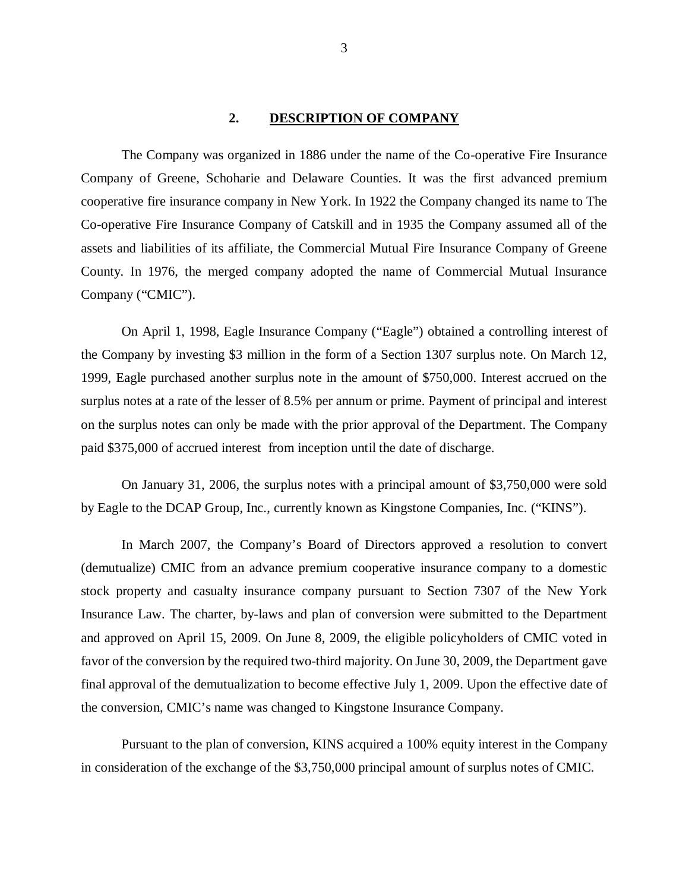#### **2. DESCRIPTION OF COMPANY**

The Company was organized in 1886 under the name of the Co-operative Fire Insurance Company of Greene, Schoharie and Delaware Counties. It was the first advanced premium cooperative fire insurance company in New York. In 1922 the Company changed its name to The Co-operative Fire Insurance Company of Catskill and in 1935 the Company assumed all of the assets and liabilities of its affiliate, the Commercial Mutual Fire Insurance Company of Greene County. In 1976, the merged company adopted the name of Commercial Mutual Insurance Company ("CMIC").

On April 1, 1998, Eagle Insurance Company ("Eagle") obtained a controlling interest of the Company by investing \$3 million in the form of a Section 1307 surplus note. On March 12, 1999, Eagle purchased another surplus note in the amount of \$750,000. Interest accrued on the surplus notes at a rate of the lesser of 8.5% per annum or prime. Payment of principal and interest on the surplus notes can only be made with the prior approval of the Department. The Company paid \$375,000 of accrued interest from inception until the date of discharge.

On January 31, 2006, the surplus notes with a principal amount of \$3,750,000 were sold by Eagle to the DCAP Group, Inc., currently known as Kingstone Companies, Inc. ("KINS").

In March 2007, the Company's Board of Directors approved a resolution to convert (demutualize) CMIC from an advance premium cooperative insurance company to a domestic stock property and casualty insurance company pursuant to Section 7307 of the New York Insurance Law. The charter, by-laws and plan of conversion were submitted to the Department and approved on April 15, 2009. On June 8, 2009, the eligible policyholders of CMIC voted in favor of the conversion by the required two-third majority. On June 30, 2009, the Department gave final approval of the demutualization to become effective July 1, 2009. Upon the effective date of the conversion, CMIC's name was changed to Kingstone Insurance Company.

Pursuant to the plan of conversion, KINS acquired a 100% equity interest in the Company in consideration of the exchange of the \$3,750,000 principal amount of surplus notes of CMIC.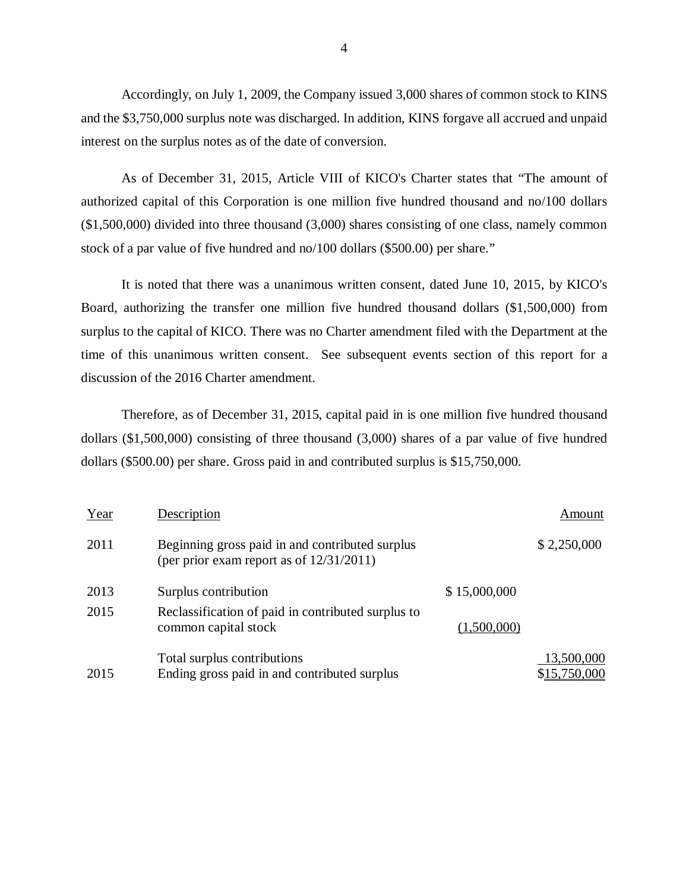Accordingly, on July 1, 2009, the Company issued 3,000 shares of common stock to KINS and the \$3,750,000 surplus note was discharged. In addition, KINS forgave all accrued and unpaid interest on the surplus notes as of the date of conversion.

As of December 31, 2015, Article VIII of KICO's Charter states that "The amount of authorized capital of this Corporation is one million five hundred thousand and no/100 dollars (\$1,500,000) divided into three thousand (3,000) shares consisting of one class, namely common stock of a par value of five hundred and no/100 dollars (\$500.00) per share."

It is noted that there was a unanimous written consent, dated June 10, 2015, by KICO's Board, authorizing the transfer one million five hundred thousand dollars (\$1,500,000) from surplus to the capital of KICO. There was no Charter amendment filed with the Department at the time of this unanimous written consent. See subsequent events section of this report for a discussion of the 2016 Charter amendment.

Therefore, as of December 31, 2015, capital paid in is one million five hundred thousand dollars (\$1,500,000) consisting of three thousand (3,000) shares of a par value of five hundred dollars (\$500.00) per share. Gross paid in and contributed surplus is \$15,750,000.

| Year | Description                                                                                    |              | Amount                     |
|------|------------------------------------------------------------------------------------------------|--------------|----------------------------|
| 2011 | Beginning gross paid in and contributed surplus<br>(per prior exam report as of $12/31/2011$ ) |              | \$2,250,000                |
| 2013 | Surplus contribution                                                                           | \$15,000,000 |                            |
| 2015 | Reclassification of paid in contributed surplus to<br>common capital stock                     | (1,500,000)  |                            |
| 2015 | Total surplus contributions<br>Ending gross paid in and contributed surplus                    |              | 13,500,000<br>\$15,750,000 |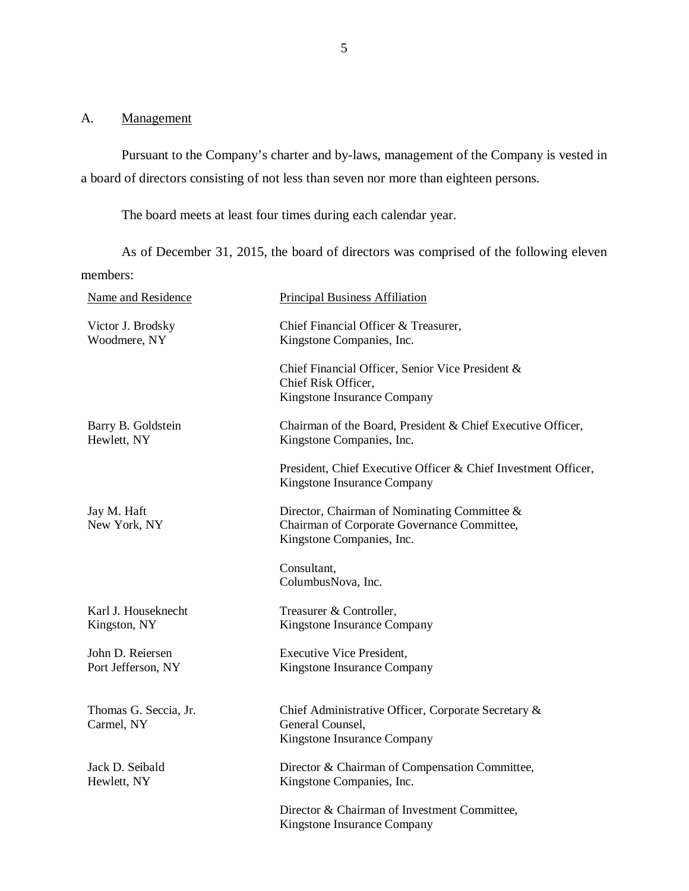## <span id="page-6-0"></span>A. Management

Pursuant to the Company's charter and by-laws, management of the Company is vested in a board of directors consisting of not less than seven nor more than eighteen persons.

The board meets at least four times during each calendar year.

As of December 31, 2015, the board of directors was comprised of the following eleven members:

| Name and Residence                     | <b>Principal Business Affiliation</b>                                                                                    |
|----------------------------------------|--------------------------------------------------------------------------------------------------------------------------|
| Victor J. Brodsky<br>Woodmere, NY      | Chief Financial Officer & Treasurer,<br>Kingstone Companies, Inc.                                                        |
|                                        | Chief Financial Officer, Senior Vice President &<br>Chief Risk Officer,<br>Kingstone Insurance Company                   |
| Barry B. Goldstein<br>Hewlett, NY      | Chairman of the Board, President & Chief Executive Officer,<br>Kingstone Companies, Inc.                                 |
|                                        | President, Chief Executive Officer & Chief Investment Officer,<br>Kingstone Insurance Company                            |
| Jay M. Haft<br>New York, NY            | Director, Chairman of Nominating Committee &<br>Chairman of Corporate Governance Committee,<br>Kingstone Companies, Inc. |
|                                        | Consultant,<br>ColumbusNova, Inc.                                                                                        |
| Karl J. Houseknecht<br>Kingston, NY    | Treasurer & Controller,<br>Kingstone Insurance Company                                                                   |
| John D. Reiersen<br>Port Jefferson, NY | <b>Executive Vice President,</b><br>Kingstone Insurance Company                                                          |
| Thomas G. Seccia, Jr.<br>Carmel, NY    | Chief Administrative Officer, Corporate Secretary &<br>General Counsel,<br>Kingstone Insurance Company                   |
| Jack D. Seibald<br>Hewlett, NY         | Director & Chairman of Compensation Committee,<br>Kingstone Companies, Inc.                                              |
|                                        | Director & Chairman of Investment Committee,<br>Kingstone Insurance Company                                              |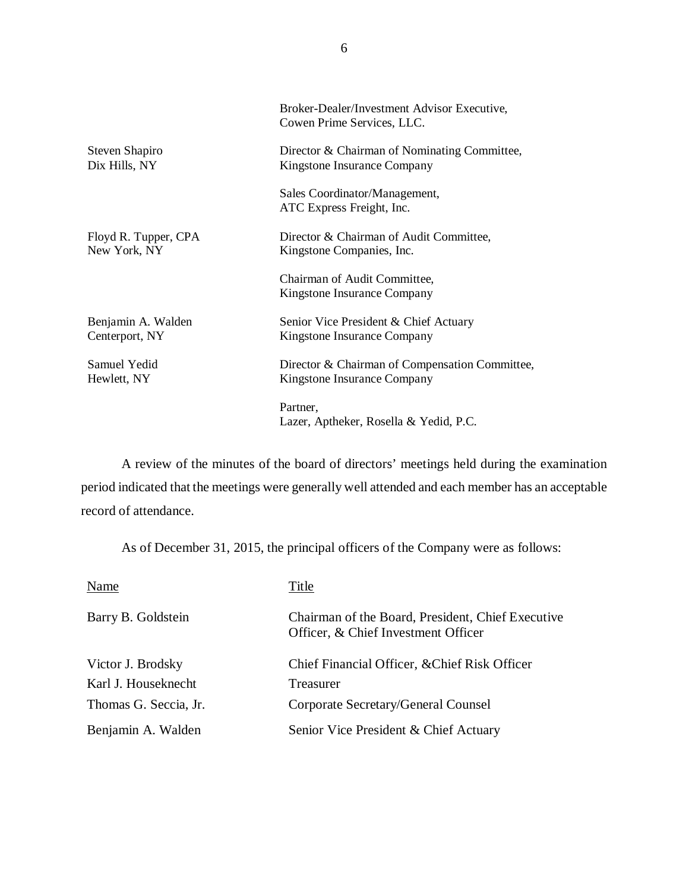|                      | Broker-Dealer/Investment Advisor Executive,<br>Cowen Prime Services, LLC. |
|----------------------|---------------------------------------------------------------------------|
| Steven Shapiro       | Director & Chairman of Nominating Committee,                              |
| Dix Hills, NY        | Kingstone Insurance Company                                               |
|                      | Sales Coordinator/Management,<br>ATC Express Freight, Inc.                |
| Floyd R. Tupper, CPA | Director & Chairman of Audit Committee,                                   |
| New York, NY         | Kingstone Companies, Inc.                                                 |
|                      | Chairman of Audit Committee,<br>Kingstone Insurance Company               |
| Benjamin A. Walden   | Senior Vice President & Chief Actuary                                     |
| Centerport, NY       | Kingstone Insurance Company                                               |
| Samuel Yedid         | Director & Chairman of Compensation Committee,                            |
| Hewlett, NY          | Kingstone Insurance Company                                               |
|                      | Partner,<br>Lazer, Aptheker, Rosella & Yedid, P.C.                        |

A review of the minutes of the board of directors' meetings held during the examination period indicated that the meetings were generally well attended and each member has an acceptable record of attendance.

As of December 31, 2015, the principal officers of the Company were as follows:

| Name                  | Title                                                                                    |
|-----------------------|------------------------------------------------------------------------------------------|
| Barry B. Goldstein    | Chairman of the Board, President, Chief Executive<br>Officer, & Chief Investment Officer |
| Victor J. Brodsky     | Chief Financial Officer, & Chief Risk Officer                                            |
| Karl J. Houseknecht   | Treasurer                                                                                |
| Thomas G. Seccia, Jr. | Corporate Secretary/General Counsel                                                      |
| Benjamin A. Walden    | Senior Vice President & Chief Actuary                                                    |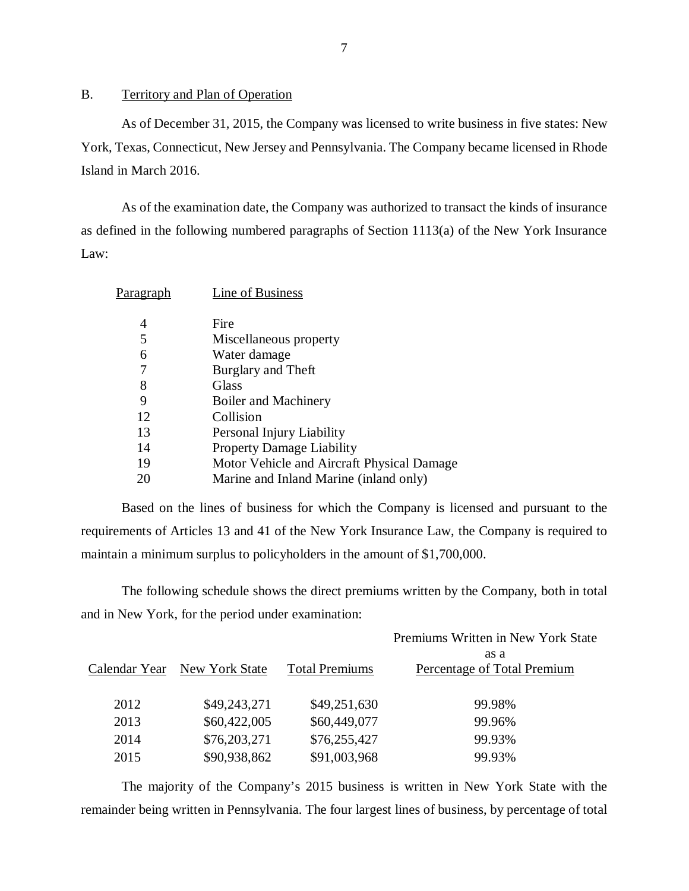## B. Territory and Plan of Operation

As of December 31, 2015, the Company was licensed to write business in five states: New York, Texas, Connecticut, New Jersey and Pennsylvania. The Company became licensed in Rhode Island in March 2016.

As of the examination date, the Company was authorized to transact the kinds of insurance as defined in the following numbered paragraphs of Section 1113(a) of the New York Insurance Law:

| P <u>aragraph</u> | Line of Business                           |
|-------------------|--------------------------------------------|
| 4                 | Fire                                       |
| 5                 | Miscellaneous property                     |
| 6                 | Water damage                               |
|                   | Burglary and Theft                         |
| 8                 | Glass                                      |
| 9                 | Boiler and Machinery                       |
| 12                | Collision                                  |
| 13                | Personal Injury Liability                  |
| 14                | Property Damage Liability                  |
| 19                | Motor Vehicle and Aircraft Physical Damage |
| 20                | Marine and Inland Marine (inland only)     |
|                   |                                            |

Based on the lines of business for which the Company is licensed and pursuant to the requirements of Articles 13 and 41 of the New York Insurance Law, the Company is required to maintain a minimum surplus to policyholders in the amount of \$1,700,000.

The following schedule shows the direct premiums written by the Company, both in total and in New York, for the period under examination:

|               |                |                       | Premiums Written in New York State  |
|---------------|----------------|-----------------------|-------------------------------------|
| Calendar Year | New York State | <b>Total Premiums</b> | as a<br>Percentage of Total Premium |
| 2012          | \$49,243,271   | \$49,251,630          | 99.98%                              |
| 2013          | \$60,422,005   | \$60,449,077          | 99.96%                              |
| 2014          | \$76,203,271   | \$76,255,427          | 99.93%                              |
| 2015          | \$90,938,862   | \$91,003,968          | 99.93%                              |

The majority of the Company's 2015 business is written in New York State with the remainder being written in Pennsylvania. The four largest lines of business, by percentage of total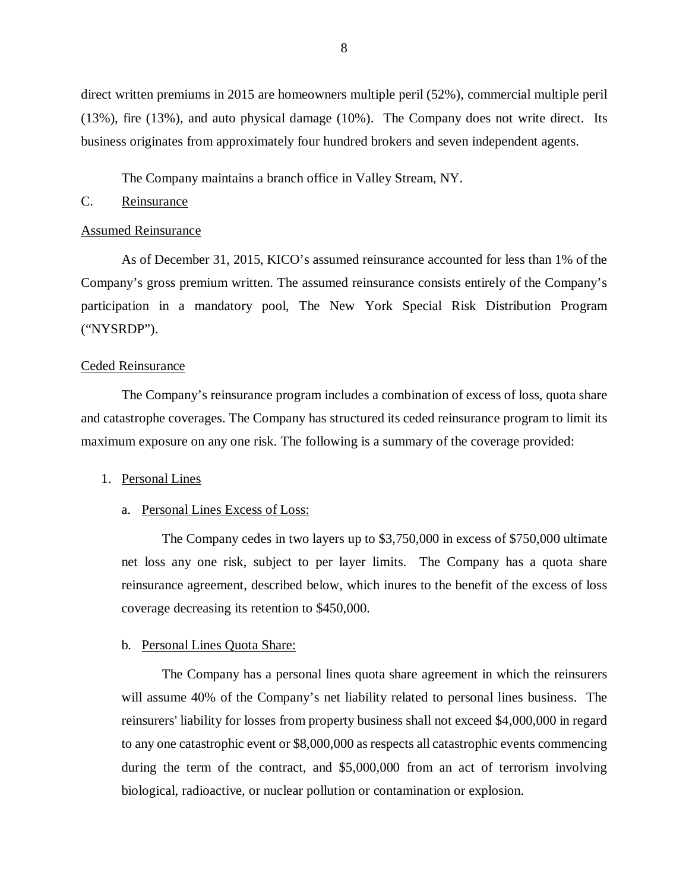<span id="page-9-0"></span>direct written premiums in 2015 are homeowners multiple peril (52%), commercial multiple peril (13%), fire (13%), and auto physical damage (10%). The Company does not write direct. Its business originates from approximately four hundred brokers and seven independent agents.

The Company maintains a branch office in Valley Stream, NY.

# C. Reinsurance

#### Assumed Reinsurance

As of December 31, 2015, KICO's assumed reinsurance accounted for less than 1% of the Company's gross premium written. The assumed reinsurance consists entirely of the Company's participation in a mandatory pool, The New York Special Risk Distribution Program ("NYSRDP").

#### Ceded Reinsurance

The Company's reinsurance program includes a combination of excess of loss, quota share and catastrophe coverages. The Company has structured its ceded reinsurance program to limit its maximum exposure on any one risk. The following is a summary of the coverage provided:

#### 1. Personal Lines

#### a. Personal Lines Excess of Loss:

The Company cedes in two layers up to \$3,750,000 in excess of \$750,000 ultimate net loss any one risk, subject to per layer limits. The Company has a quota share reinsurance agreement, described below, which inures to the benefit of the excess of loss coverage decreasing its retention to \$450,000.

#### b. Personal Lines Quota Share:

The Company has a personal lines quota share agreement in which the reinsurers will assume 40% of the Company's net liability related to personal lines business. The reinsurers' liability for losses from property business shall not exceed \$4,000,000 in regard to any one catastrophic event or \$8,000,000 as respects all catastrophic events commencing during the term of the contract, and \$5,000,000 from an act of terrorism involving biological, radioactive, or nuclear pollution or contamination or explosion.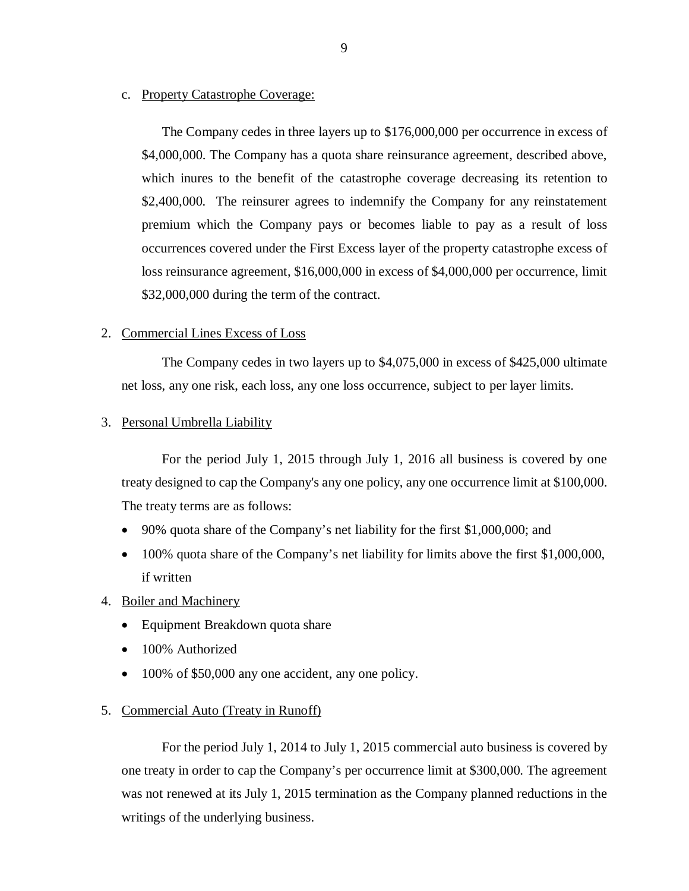### c. Property Catastrophe Coverage:

The Company cedes in three layers up to \$176,000,000 per occurrence in excess of \$4,000,000. The Company has a quota share reinsurance agreement, described above, which inures to the benefit of the catastrophe coverage decreasing its retention to \$2,400,000. The reinsurer agrees to indemnify the Company for any reinstatement premium which the Company pays or becomes liable to pay as a result of loss occurrences covered under the First Excess layer of the property catastrophe excess of loss reinsurance agreement, \$16,000,000 in excess of \$4,000,000 per occurrence, limit \$32,000,000 during the term of the contract.

### 2. Commercial Lines Excess of Loss

The Company cedes in two layers up to \$4,075,000 in excess of \$425,000 ultimate net loss, any one risk, each loss, any one loss occurrence, subject to per layer limits.

#### 3. Personal Umbrella Liability

For the period July 1, 2015 through July 1, 2016 all business is covered by one treaty designed to cap the Company's any one policy, any one occurrence limit at \$100,000. The treaty terms are as follows:

- 90% quota share of the Company's net liability for the first \$1,000,000; and
- 100% quota share of the Company's net liability for limits above the first \$1,000,000, if written
- 4. Boiler and Machinery
	- Equipment Breakdown quota share
	- 100% Authorized
	- 100% of \$50,000 any one accident, any one policy.

#### 5. Commercial Auto (Treaty in Runoff)

For the period July 1, 2014 to July 1, 2015 commercial auto business is covered by one treaty in order to cap the Company's per occurrence limit at \$300,000. The agreement was not renewed at its July 1, 2015 termination as the Company planned reductions in the writings of the underlying business.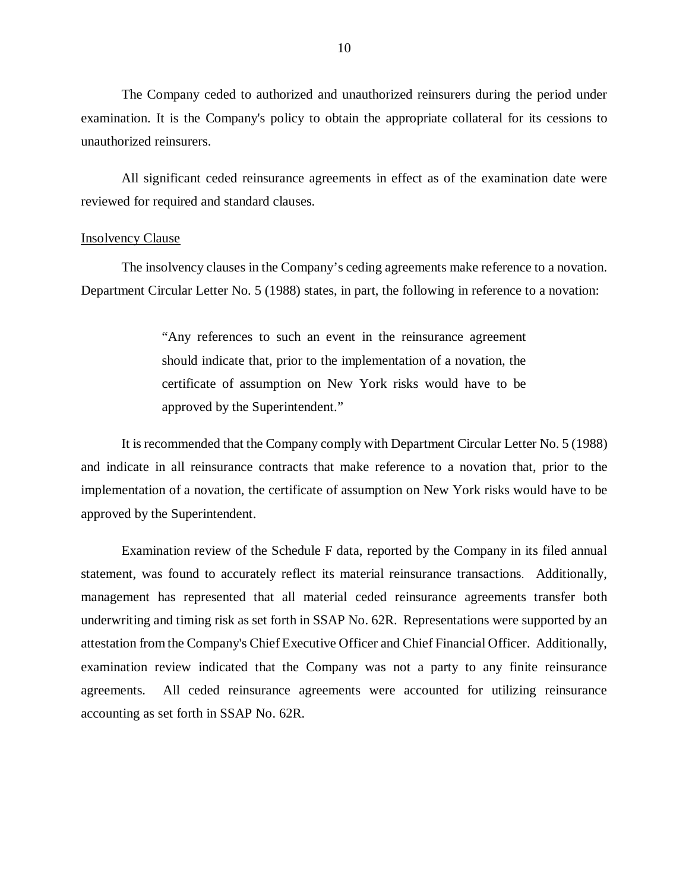The Company ceded to authorized and unauthorized reinsurers during the period under examination. It is the Company's policy to obtain the appropriate collateral for its cessions to unauthorized reinsurers.

All significant ceded reinsurance agreements in effect as of the examination date were reviewed for required and standard clauses.

### **Insolvency Clause**

The insolvency clauses in the Company's ceding agreements make reference to a novation. Department Circular Letter No. 5 (1988) states, in part, the following in reference to a novation:

> "Any references to such an event in the reinsurance agreement should indicate that, prior to the implementation of a novation, the certificate of assumption on New York risks would have to be approved by the Superintendent."

It is recommended that the Company comply with Department Circular Letter No. 5 (1988) and indicate in all reinsurance contracts that make reference to a novation that, prior to the implementation of a novation, the certificate of assumption on New York risks would have to be approved by the Superintendent.

Examination review of the Schedule F data, reported by the Company in its filed annual statement, was found to accurately reflect its material reinsurance transactions. Additionally, management has represented that all material ceded reinsurance agreements transfer both underwriting and timing risk as set forth in SSAP No. 62R. Representations were supported by an attestation from the Company's Chief Executive Officer and Chief Financial Officer. Additionally, examination review indicated that the Company was not a party to any finite reinsurance agreements. All ceded reinsurance agreements were accounted for utilizing reinsurance accounting as set forth in SSAP No. 62R.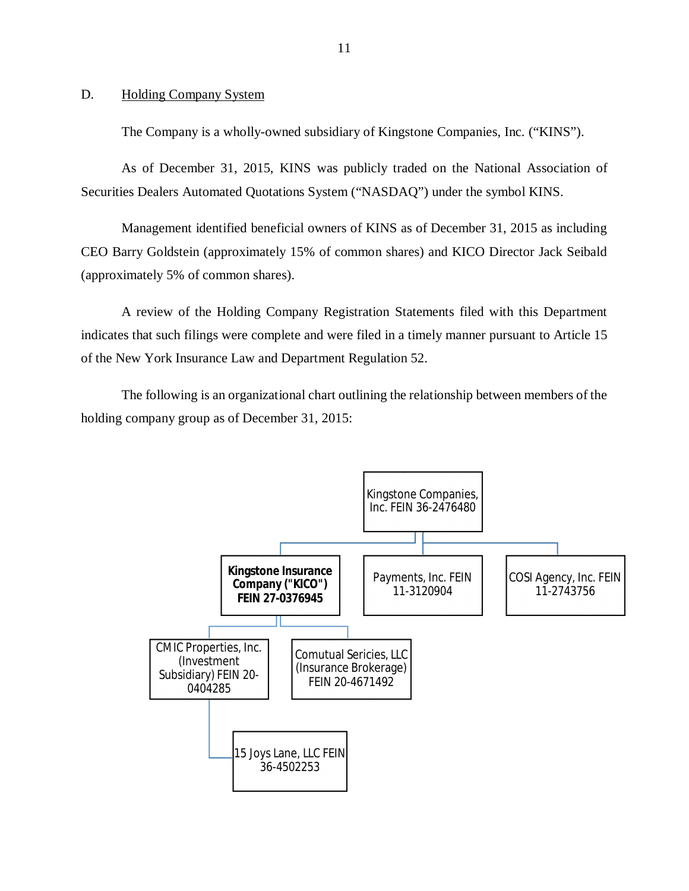## <span id="page-12-0"></span>D. Holding Company System

The Company is a wholly-owned subsidiary of Kingstone Companies, Inc. ("KINS").

As of December 31, 2015, KINS was publicly traded on the National Association of Securities Dealers Automated Quotations System ("NASDAQ") under the symbol KINS.

Management identified beneficial owners of KINS as of December 31, 2015 as including CEO Barry Goldstein (approximately 15% of common shares) and KICO Director Jack Seibald (approximately 5% of common shares).

A review of the Holding Company Registration Statements filed with this Department indicates that such filings were complete and were filed in a timely manner pursuant to Article 15 of the New York Insurance Law and Department Regulation 52.

The following is an organizational chart outlining the relationship between members of the holding company group as of December 31, 2015:

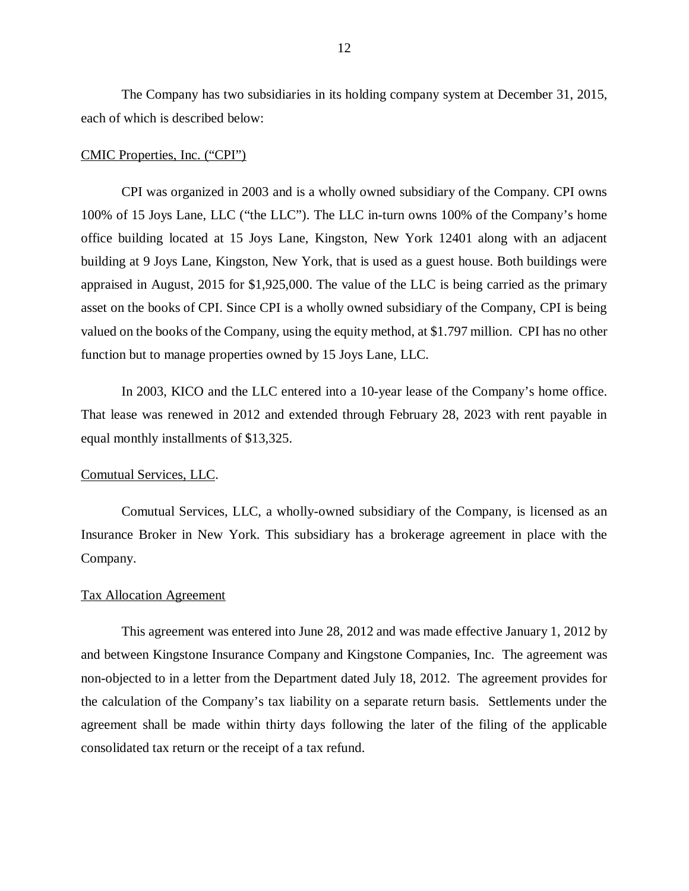The Company has two subsidiaries in its holding company system at December 31, 2015, each of which is described below:

#### CMIC Properties, Inc. ("CPI")

CPI was organized in 2003 and is a wholly owned subsidiary of the Company. CPI owns 100% of 15 Joys Lane, LLC ("the LLC"). The LLC in-turn owns 100% of the Company's home office building located at 15 Joys Lane, Kingston, New York 12401 along with an adjacent building at 9 Joys Lane, Kingston, New York, that is used as a guest house. Both buildings were appraised in August, 2015 for \$1,925,000. The value of the LLC is being carried as the primary asset on the books of CPI. Since CPI is a wholly owned subsidiary of the Company, CPI is being valued on the books of the Company, using the equity method, at \$1.797 million. CPI has no other function but to manage properties owned by 15 Joys Lane, LLC.

In 2003, KICO and the LLC entered into a 10-year lease of the Company's home office. That lease was renewed in 2012 and extended through February 28, 2023 with rent payable in equal monthly installments of \$13,325.

#### Comutual Services, LLC.

Comutual Services, LLC, a wholly-owned subsidiary of the Company, is licensed as an Insurance Broker in New York. This subsidiary has a brokerage agreement in place with the Company.

#### Tax Allocation Agreement

This agreement was entered into June 28, 2012 and was made effective January 1, 2012 by and between Kingstone Insurance Company and Kingstone Companies, Inc. The agreement was non-objected to in a letter from the Department dated July 18, 2012. The agreement provides for the calculation of the Company's tax liability on a separate return basis. Settlements under the agreement shall be made within thirty days following the later of the filing of the applicable consolidated tax return or the receipt of a tax refund.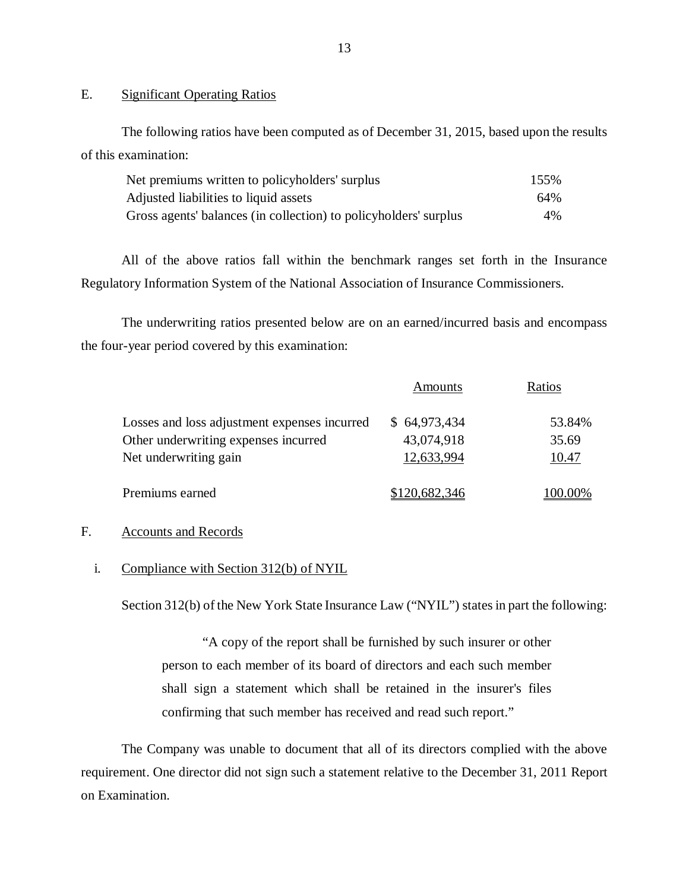## E. Significant Operating Ratios

The following ratios have been computed as of December 31, 2015, based upon the results of this examination:

| Net premiums written to policyholders' surplus                   | 155% |
|------------------------------------------------------------------|------|
| Adjusted liabilities to liquid assets                            | 64%  |
| Gross agents' balances (in collection) to policyholders' surplus | 4%   |

All of the above ratios fall within the benchmark ranges set forth in the Insurance Regulatory Information System of the National Association of Insurance Commissioners.

The underwriting ratios presented below are on an earned/incurred basis and encompass the four-year period covered by this examination:

| Amounts       | Ratios  |
|---------------|---------|
| \$64,973,434  | 53.84%  |
| 43,074,918    | 35.69   |
| 12,633,994    | 10.47   |
| \$120,682,346 | 100.00% |
|               |         |

# F. Accounts and Records

### i. Compliance with Section 312(b) of NYIL

Section 312(b) of the New York State Insurance Law ("NYIL") states in part the following:

"A copy of the report shall be furnished by such insurer or other person to each member of its board of directors and each such member shall sign a statement which shall be retained in the insurer's files confirming that such member has received and read such report."

The Company was unable to document that all of its directors complied with the above requirement. One director did not sign such a statement relative to the December 31, 2011 Report on Examination.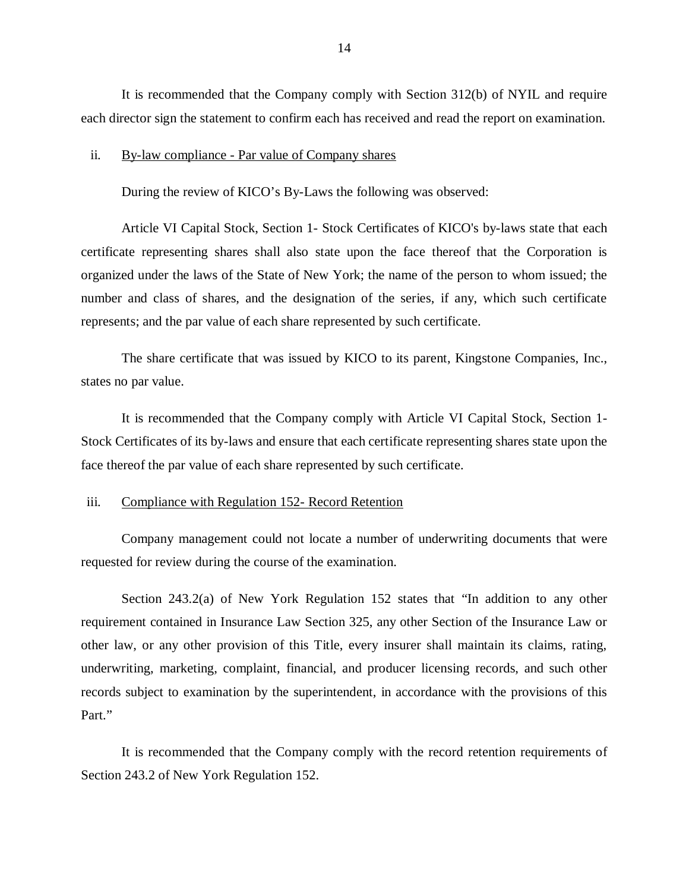It is recommended that the Company comply with Section 312(b) of NYIL and require each director sign the statement to confirm each has received and read the report on examination.

#### ii. By-law compliance - Par value of Company shares

During the review of KICO's By-Laws the following was observed:

Article VI Capital Stock, Section 1- Stock Certificates of KICO's by-laws state that each certificate representing shares shall also state upon the face thereof that the Corporation is organized under the laws of the State of New York; the name of the person to whom issued; the number and class of shares, and the designation of the series, if any, which such certificate represents; and the par value of each share represented by such certificate.

The share certificate that was issued by KICO to its parent, Kingstone Companies, Inc., states no par value.

It is recommended that the Company comply with Article VI Capital Stock, Section 1- Stock Certificates of its by-laws and ensure that each certificate representing shares state upon the face thereof the par value of each share represented by such certificate.

#### iii. Compliance with Regulation 152- Record Retention

Company management could not locate a number of underwriting documents that were requested for review during the course of the examination.

Section 243.2(a) of New York Regulation 152 states that "In addition to any other requirement contained in Insurance Law Section 325, any other Section of the Insurance Law or other law, or any other provision of this Title, every insurer shall maintain its claims, rating, underwriting, marketing, complaint, financial, and producer licensing records, and such other records subject to examination by the superintendent, in accordance with the provisions of this Part."

It is recommended that the Company comply with the record retention requirements of Section 243.2 of New York Regulation 152.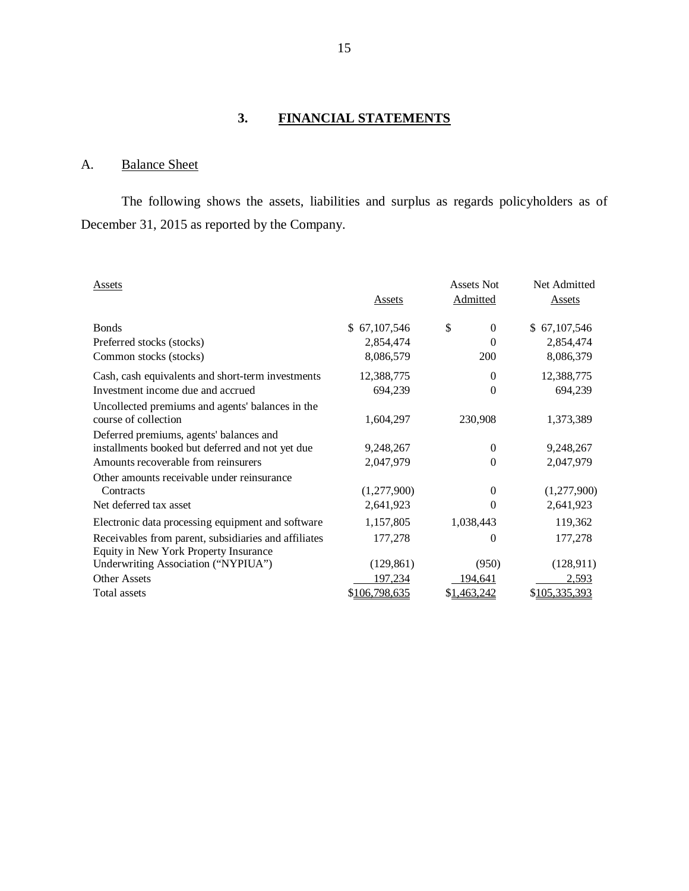# **3. FINANCIAL STATEMENTS**

# A. Balance Sheet

The following shows the assets, liabilities and surplus as regards policyholders as of December 31, 2015 as reported by the Company.

| Assets                                               |               | Assets Not     | Net Admitted  |
|------------------------------------------------------|---------------|----------------|---------------|
|                                                      | Assets        | Admitted       | Assets        |
| <b>B</b> onds                                        | \$67,107,546  | \$<br>$\Omega$ | \$67,107,546  |
| Preferred stocks (stocks)                            | 2,854,474     | $\Omega$       | 2,854,474     |
| Common stocks (stocks)                               | 8,086,579     | <b>200</b>     | 8,086,379     |
| Cash, cash equivalents and short-term investments    | 12,388,775    | 0              | 12,388,775    |
| Investment income due and accrued                    | 694,239       | 0              | 694,239       |
| Uncollected premiums and agents' balances in the     |               |                |               |
| course of collection                                 | 1,604,297     | 230,908        | 1,373,389     |
| Deferred premiums, agents' balances and              |               |                |               |
| installments booked but deferred and not yet due     | 9,248,267     | 0              | 9,248,267     |
| Amounts recoverable from reinsurers                  | 2,047,979     | 0              | 2,047,979     |
| Other amounts receivable under reinsurance           |               |                |               |
| Contracts                                            | (1,277,900)   | $\theta$       | (1,277,900)   |
| Net deferred tax asset                               | 2,641,923     | $\Omega$       | 2,641,923     |
| Electronic data processing equipment and software    | 1,157,805     | 1,038,443      | 119,362       |
| Receivables from parent, subsidiaries and affiliates | 177,278       | 0              | 177,278       |
| Equity in New York Property Insurance                |               |                |               |
| Underwriting Association ("NYPIUA")                  | (129, 861)    | (950)          | (128, 911)    |
| <b>Other Assets</b>                                  | 197,234       | 194,641        | 2,593         |
| Total assets                                         | \$106,798,635 | \$1,463,242    | \$105,335,393 |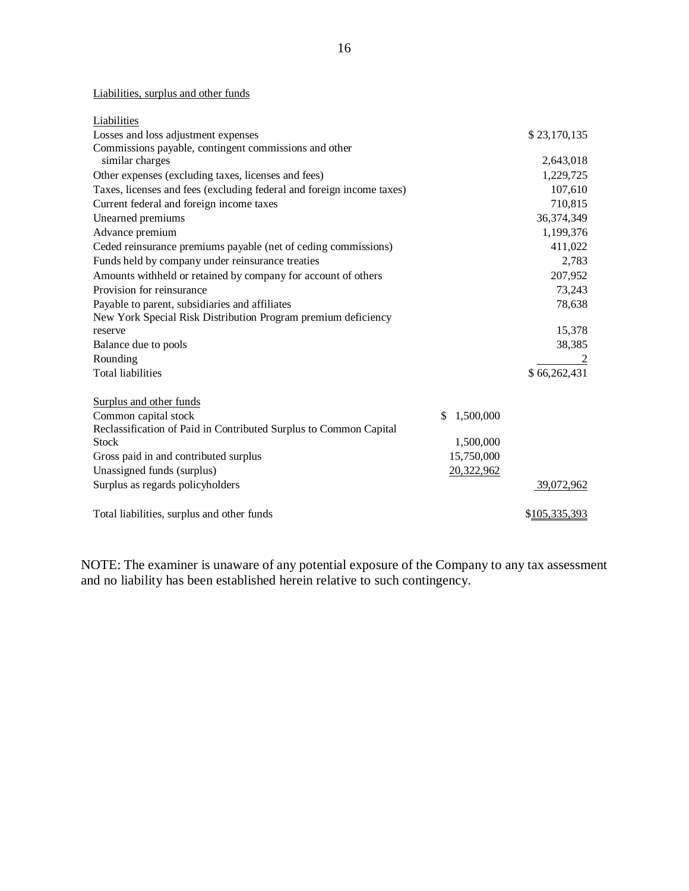## Liabilities, surplus and other funds

| Liabilities                                                           |                 |               |
|-----------------------------------------------------------------------|-----------------|---------------|
| Losses and loss adjustment expenses                                   |                 | \$23,170,135  |
| Commissions payable, contingent commissions and other                 |                 |               |
| similar charges                                                       |                 | 2,643,018     |
| Other expenses (excluding taxes, licenses and fees)                   |                 | 1,229,725     |
| Taxes, licenses and fees (excluding federal and foreign income taxes) |                 | 107,610       |
| Current federal and foreign income taxes                              |                 | 710,815       |
| Unearned premiums                                                     |                 | 36,374,349    |
| Advance premium                                                       |                 | 1,199,376     |
| Ceded reinsurance premiums payable (net of ceding commissions)        |                 | 411,022       |
| Funds held by company under reinsurance treaties                      |                 | 2,783         |
| Amounts withheld or retained by company for account of others         |                 | 207,952       |
| Provision for reinsurance                                             |                 | 73,243        |
| Payable to parent, subsidiaries and affiliates                        |                 | 78,638        |
| New York Special Risk Distribution Program premium deficiency         |                 |               |
| reserve                                                               |                 | 15,378        |
| Balance due to pools                                                  |                 | 38,385        |
| Rounding                                                              |                 |               |
| <b>Total liabilities</b>                                              |                 | \$66,262,431  |
| Surplus and other funds                                               |                 |               |
| Common capital stock                                                  | 1,500,000<br>\$ |               |
| Reclassification of Paid in Contributed Surplus to Common Capital     |                 |               |
| <b>Stock</b>                                                          | 1,500,000       |               |
| Gross paid in and contributed surplus                                 | 15,750,000      |               |
| Unassigned funds (surplus)                                            | 20,322,962      |               |
| Surplus as regards policyholders                                      |                 | 39,072,962    |
|                                                                       |                 |               |
| Total liabilities, surplus and other funds                            |                 | \$105,335,393 |

NOTE: The examiner is unaware of any potential exposure of the Company to any tax assessment and no liability has been established herein relative to such contingency.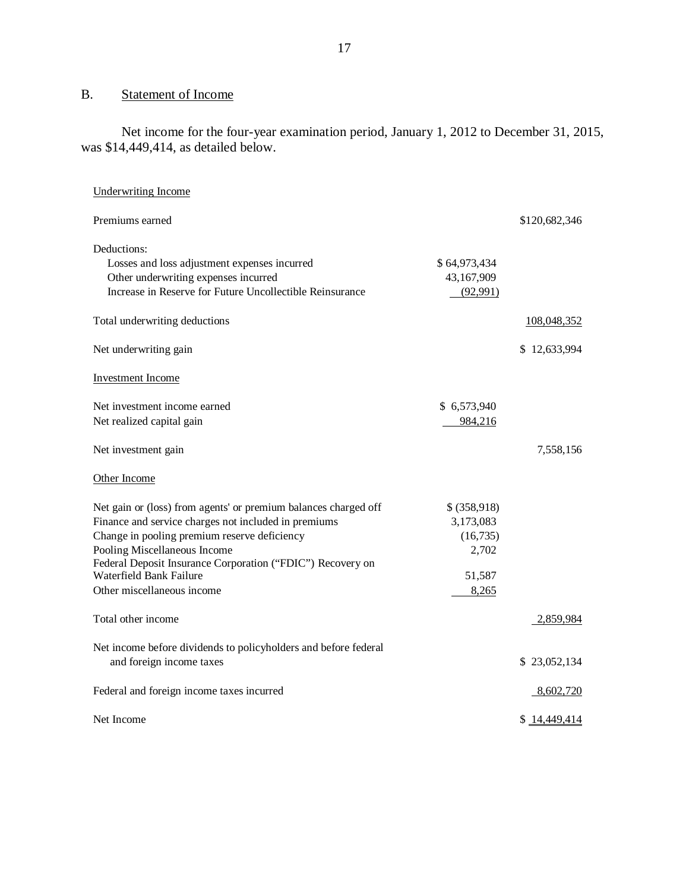# B. Statement of Income

Net income for the four-year examination period, January 1, 2012 to December 31, 2015, was \$14,449,414, as detailed below.

| <b>Underwriting Income</b>                                      |              |               |
|-----------------------------------------------------------------|--------------|---------------|
| Premiums earned                                                 |              | \$120,682,346 |
| Deductions:                                                     |              |               |
| Losses and loss adjustment expenses incurred                    | \$64,973,434 |               |
| Other underwriting expenses incurred                            | 43,167,909   |               |
| Increase in Reserve for Future Uncollectible Reinsurance        | (92, 991)    |               |
| Total underwriting deductions                                   |              | 108,048,352   |
| Net underwriting gain                                           |              | \$12,633,994  |
| Investment Income                                               |              |               |
| Net investment income earned                                    | \$6,573,940  |               |
| Net realized capital gain                                       | 984,216      |               |
| Net investment gain                                             |              | 7,558,156     |
| Other Income                                                    |              |               |
| Net gain or (loss) from agents' or premium balances charged off | \$ (358,918) |               |
| Finance and service charges not included in premiums            | 3,173,083    |               |
| Change in pooling premium reserve deficiency                    | (16, 735)    |               |
| Pooling Miscellaneous Income                                    | 2,702        |               |
| Federal Deposit Insurance Corporation ("FDIC") Recovery on      |              |               |
| Waterfield Bank Failure                                         | 51,587       |               |
| Other miscellaneous income                                      | 8,265        |               |
| Total other income                                              |              | 2,859,984     |
| Net income before dividends to policyholders and before federal |              |               |
| and foreign income taxes                                        |              | \$23,052,134  |
| Federal and foreign income taxes incurred                       |              | 8,602,720     |
| Net Income                                                      |              | \$14,449,414  |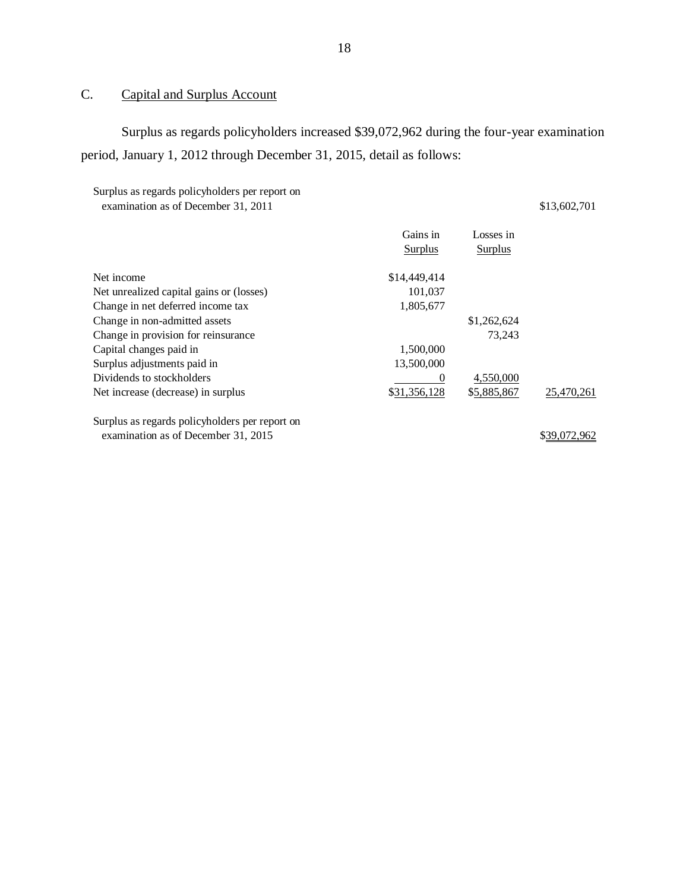# C. Capital and Surplus Account

Surplus as regards policyholders increased \$39,072,962 during the four-year examination period, January 1, 2012 through December 31, 2015, detail as follows:

| Surplus as regards policyholders per report on |              |
|------------------------------------------------|--------------|
| examination as of December 31, 2011            | \$13,602,701 |

|                                                | Gains in       | Losses in      |            |
|------------------------------------------------|----------------|----------------|------------|
|                                                | <b>Surplus</b> | <b>Surplus</b> |            |
| Net income                                     | \$14,449,414   |                |            |
| Net unrealized capital gains or (losses)       | 101.037        |                |            |
| Change in net deferred income tax              | 1,805,677      |                |            |
| Change in non-admitted assets                  |                | \$1,262,624    |            |
| Change in provision for reinsurance            |                | 73.243         |            |
| Capital changes paid in                        | 1,500,000      |                |            |
| Surplus adjustments paid in                    | 13,500,000     |                |            |
| Dividends to stockholders                      | $\theta$       | 4,550,000      |            |
| Net increase (decrease) in surplus             | \$31,356,128   | \$5,885,867    | 25,470,261 |
| Surplus as regards policyholders per report on |                |                |            |
| examination as of December 31, 2015            |                |                |            |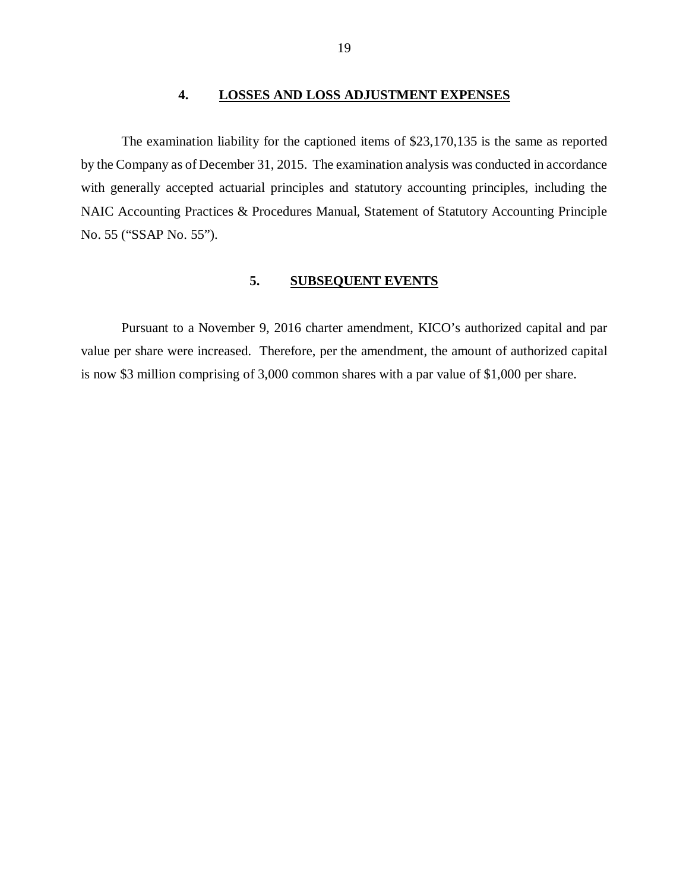## **4. LOSSES AND LOSS ADJUSTMENT EXPENSES**

<span id="page-20-0"></span>The examination liability for the captioned items of \$23,170,135 is the same as reported by the Company as of December 31, 2015. The examination analysis was conducted in accordance with generally accepted actuarial principles and statutory accounting principles, including the NAIC Accounting Practices & Procedures Manual, Statement of Statutory Accounting Principle No. 55 ("SSAP No. 55").

## **5. SUBSEQUENT EVENTS**

Pursuant to a November 9, 2016 charter amendment, KICO's authorized capital and par value per share were increased. Therefore, per the amendment, the amount of authorized capital is now \$3 million comprising of 3,000 common shares with a par value of \$1,000 per share.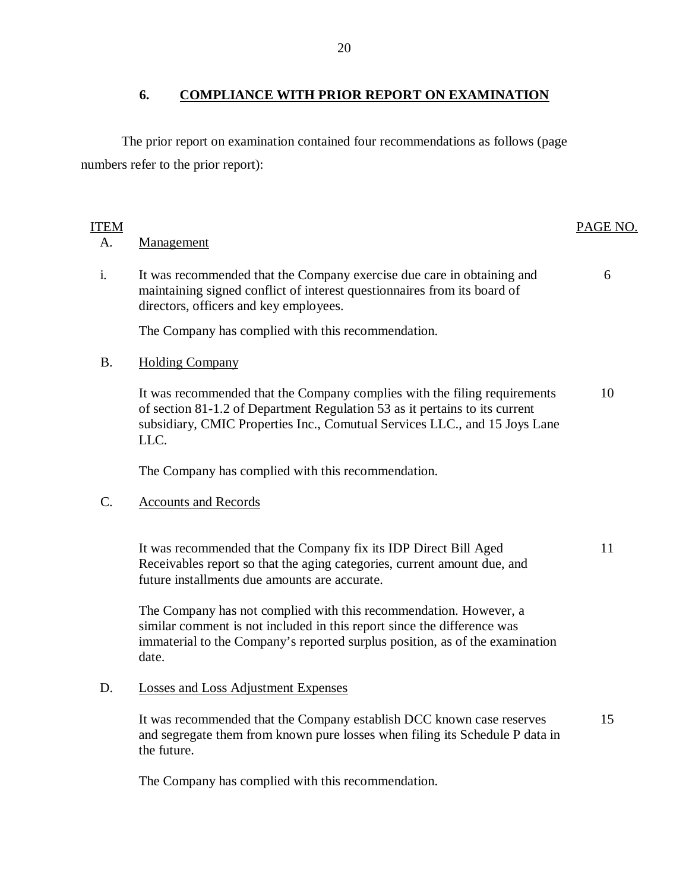# **6. COMPLIANCE WITH PRIOR REPORT ON EXAMINATION**

<span id="page-21-0"></span>The prior report on examination contained four recommendations as follows (page numbers refer to the prior report):

# ITEM PAGE NO.

## A. Management

i. It was recommended that the Company exercise due care in obtaining and maintaining signed conflict of interest questionnaires from its board of directors, officers and key employees. 6

The Company has complied with this recommendation.

## B. Holding Company

It was recommended that the Company complies with the filing requirements 10 of section 81-1.2 of Department Regulation 53 as it pertains to its current subsidiary, CMIC Properties Inc., Comutual Services LLC., and 15 Joys Lane LLC.

The Company has complied with this recommendation.

# C. Accounts and Records

It was recommended that the Company fix its IDP Direct Bill Aged 11 Receivables report so that the aging categories, current amount due, and future installments due amounts are accurate.

The Company has not complied with this recommendation. However, a similar comment is not included in this report since the difference was immaterial to the Company's reported surplus position, as of the examination date.

## D. Losses and Loss Adjustment Expenses

It was recommended that the Company establish DCC known case reserves and segregate them from known pure losses when filing its Schedule P data in the future. 15

The Company has complied with this recommendation.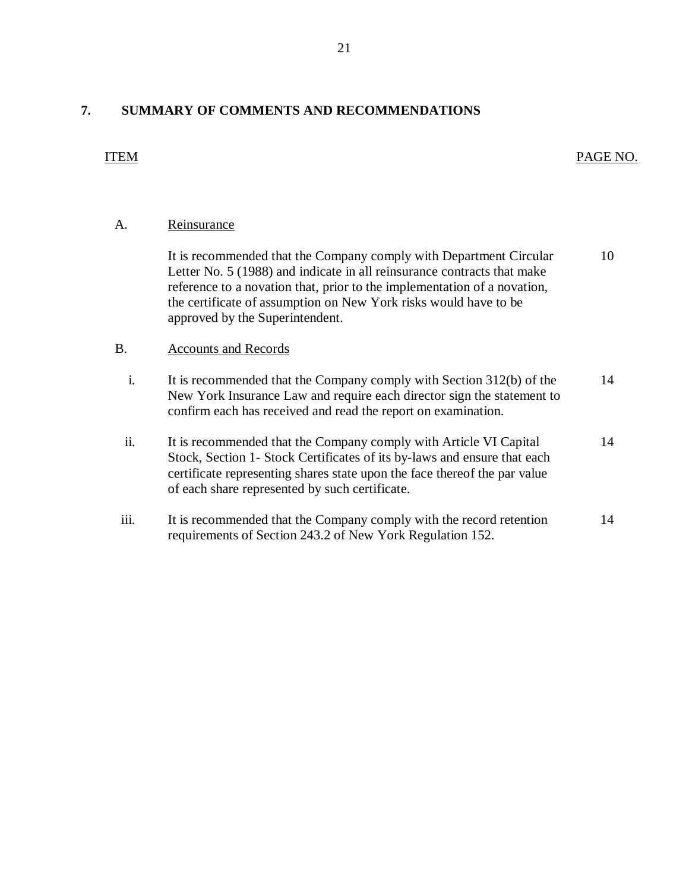# <span id="page-22-0"></span>**7. SUMMARY OF COMMENTS AND RECOMMENDATIONS**

| A.             | Reinsurance                                                                                                                                                                                                                                                                                                                      |    |
|----------------|----------------------------------------------------------------------------------------------------------------------------------------------------------------------------------------------------------------------------------------------------------------------------------------------------------------------------------|----|
|                | It is recommended that the Company comply with Department Circular<br>Letter No. 5 (1988) and indicate in all reinsurance contracts that make<br>reference to a novation that, prior to the implementation of a novation,<br>the certificate of assumption on New York risks would have to be<br>approved by the Superintendent. | 10 |
| <b>B.</b>      | <b>Accounts and Records</b>                                                                                                                                                                                                                                                                                                      |    |
| $\mathbf{i}$ . | It is recommended that the Company comply with Section 312(b) of the<br>New York Insurance Law and require each director sign the statement to<br>confirm each has received and read the report on examination.                                                                                                                  | 14 |
| ii.            | It is recommended that the Company comply with Article VI Capital<br>Stock, Section 1- Stock Certificates of its by-laws and ensure that each<br>certificate representing shares state upon the face thereof the par value<br>of each share represented by such certificate.                                                     | 14 |
| iii.           | It is recommended that the Company comply with the record retention<br>requirements of Section 243.2 of New York Regulation 152.                                                                                                                                                                                                 | 14 |

ITEM PAGE NO.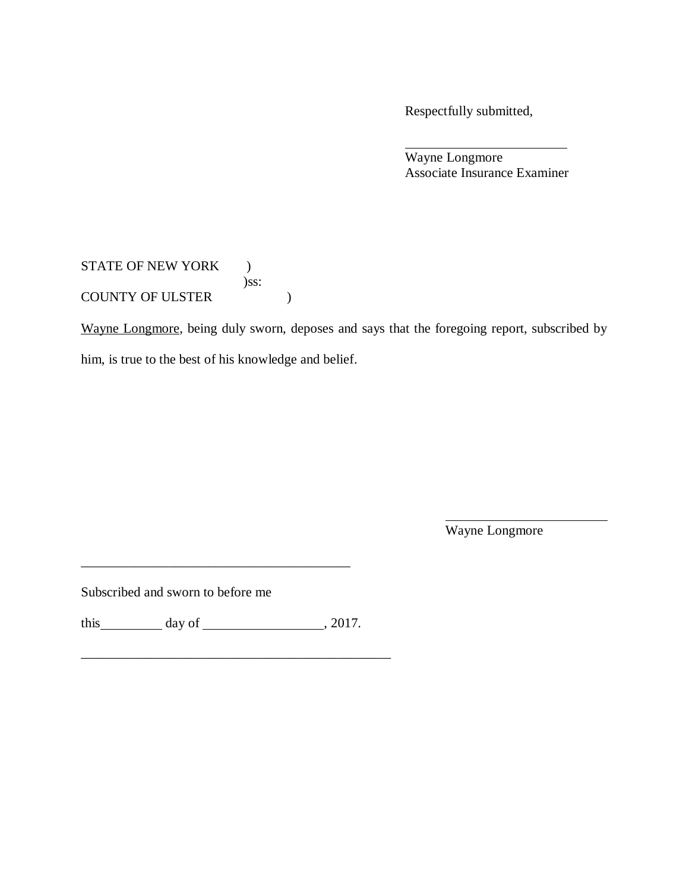Respectfully submitted,

Wayne Longmore Associate Insurance Examiner

STATE OF NEW YORK ) )ss: COUNTY OF ULSTER  $)$ 

Wayne Longmore, being duly sworn, deposes and says that the foregoing report, subscribed by

him, is true to the best of his knowledge and belief.

Wayne Longmore

Subscribed and sworn to before me

this  $\_\_\_\_\_\_\$  day of  $\_\_\_\_\_\_\_\_\_\_\_\.\_2017.$ 

\_\_\_\_\_\_\_\_\_\_\_\_\_\_\_\_\_\_\_\_\_\_\_\_\_\_\_\_\_\_\_\_\_\_\_\_\_\_\_\_\_\_\_\_\_\_

\_\_\_\_\_\_\_\_\_\_\_\_\_\_\_\_\_\_\_\_\_\_\_\_\_\_\_\_\_\_\_\_\_\_\_\_\_\_\_\_